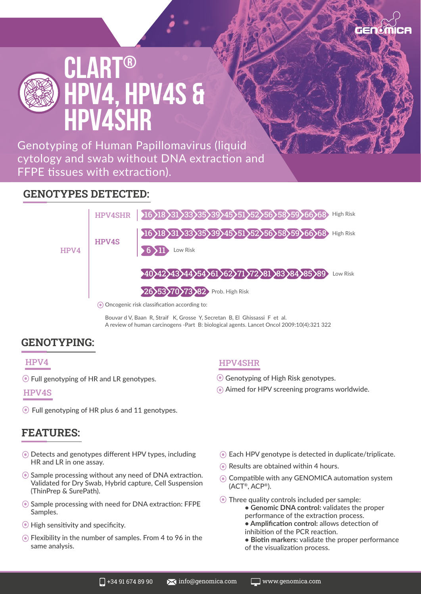

Genotyping of Human Papillomavirus (liquid cytology and swab without DNA extraction and FFPE tissues with extraction).

### **GENOTYPES DETECTED:**



Bouvar d V, Baan R, Straif K, Grosse Y, Secretan B, El Ghissassi F et al. A review of human carcinogens -Part B: biological agents. Lancet Oncol 2009:10(4):321 322

## **GENOTYPING:**

#### HPV4

Full genotyping of HR and LR genotypes.

#### HPV4S

Full genotyping of HR plus 6 and 11 genotypes.

## **FEATURES:**

- Detects and genotypes different HPV types, including HR and LR in one assay.
- Sample processing without any need of DNA extraction. Validated for Dry Swab, Hybrid capture, Cell Suspension (ThinPrep & SurePath).
- Sample processing with need for DNA extraction: FFPE Samples.
- High sensitivity and specificity.
- $\odot$  Flexibility in the number of samples. From 4 to 96 in the same analysis.

#### HPV4SHR

- Genotyping of High Risk genotypes.
- Aimed for HPV screening programs worldwide.
- Each HPV genotype is detected in duplicate/triplicate.
- **■** Results are obtained within 4 hours.
- Compatible with any GENOMICA automation system (ACT®, ACP®).
- Three quality controls included per sample: **• Genomic DNA control:** validates the proper performance of the extraction process. **• Amplification control:** allows detection of
	- inhibition of the PCR reaction.
	- **Biotin markers:** validate the proper performance of the visualization process.